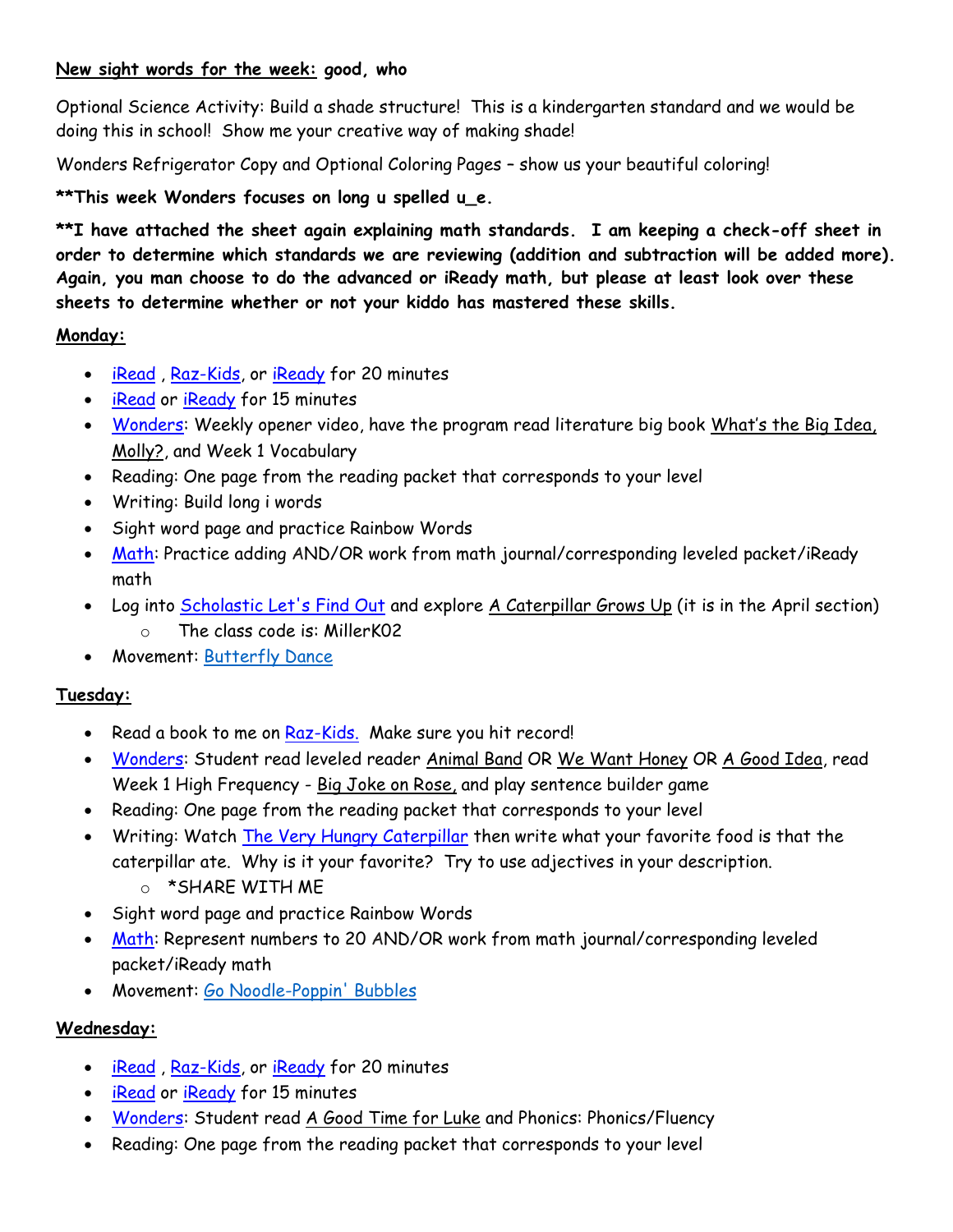### **New sight words for the week: good, who**

Optional Science Activity: Build a shade structure! This is a kindergarten standard and we would be doing this in school! Show me your creative way of making shade!

Wonders Refrigerator Copy and Optional Coloring Pages – show us your beautiful coloring!

## **\*\*This week Wonders focuses on long u spelled u\_e.**

**\*\*I have attached the sheet again explaining math standards. I am keeping a check-off sheet in order to determine which standards we are reviewing (addition and subtraction will be added more). Again, you man choose to do the advanced or iReady math, but please at least look over these sheets to determine whether or not your kiddo has mastered these skills.** 

### **Monday:**

- [iRead](https://idp-awsprod1.education.scholastic.com/idp/) , [Raz-Kids,](https://www.kidsa-z.com/main/Login?_ga=2.139039219.133775174.1587665131-1654699118.1586119199) or [iReady](https://login.i-ready.com/) for 20 minutes
- [iRead](https://idp-awsprod1.education.scholastic.com/idp/) or [iReady](https://login.i-ready.com/) for 15 minutes
- [Wonders:](https://connected.mcgraw-hill.com/connected/pictorialLoginSchool.do?code=e0t1) Weekly opener video, have the program read literature big book What's the Big Idea, Molly?, and Week 1 Vocabulary
- Reading: One page from the reading packet that corresponds to your level
- Writing: Build long i words
- Sight word page and practice Rainbow Words
- [Math:](https://www-k6.thinkcentral.com/ePC/start.do) Practice adding AND/OR work from math journal/corresponding leveled packet/iReady math
- Log into **Scholastic Let's Find Out and explore A Caterpillar Grows Up** (it is in the April section)
	- o The class code is: MillerK02
- Movement: [Butterfly](https://www.bing.com/videos/search?q=butterfly+dance+for+kids&docid=607994543639889449&mid=74780436E111C62AFF9874780436E111C62AFF98&view=detail&FORM=VIRE) Dance

#### **Tuesday:**

- Read a book to me on [Raz-Kids.](https://www.kidsa-z.com/main/Login?_ga=2.139039219.133775174.1587665131-1654699118.1586119199) Make sure you hit record!
- [Wonders:](https://connected.mcgraw-hill.com/connected/pictorialLoginSchool.do?code=e0t1) Student read leveled reader Animal Band OR We Want Honey OR A Good Idea, read Week 1 High Frequency - Big Joke on Rose, and play sentence builder game
- Reading: One page from the reading packet that corresponds to your level
- Writing: Watch [The Very Hungry Caterpillar](https://www.youtube.com/watch?v=75NQK-Sm1YY&feature=youtu.be) then write what your favorite food is that the caterpillar ate. Why is it your favorite? Try to use adjectives in your description.
	- o \*SHARE WITH ME
- Sight word page and practice Rainbow Words
- [Math:](https://www-k6.thinkcentral.com/ePC/start.do) Represent numbers to 20 AND/OR work from math journal/corresponding leveled packet/iReady math
- Movement: Go [Noodle-Poppin'](https://www.bing.com/videos/search?q=gonoodle&&view=detail&mid=49DC1565818199FB7E3F49DC1565818199FB7E3F&&FORM=VRDGAR&ru=%2Fvideos%2Fsearch%3Fq%3Dgonoodle%26FORM%3DHDRSC3) Bubbles

## **Wednesday:**

- [iRead](https://idp-awsprod1.education.scholastic.com/idp/) , [Raz-Kids,](https://www.kidsa-z.com/main/Login?_ga=2.139039219.133775174.1587665131-1654699118.1586119199) or [iReady](https://login.i-ready.com/) for 20 minutes
- [iRead](https://idp-awsprod1.education.scholastic.com/idp/) or [iReady](https://login.i-ready.com/) for 15 minutes
- [Wonders:](https://connected.mcgraw-hill.com/connected/pictorialLoginSchool.do?code=e0t1) Student read A Good Time for Luke and Phonics: Phonics/Fluency
- Reading: One page from the reading packet that corresponds to your level